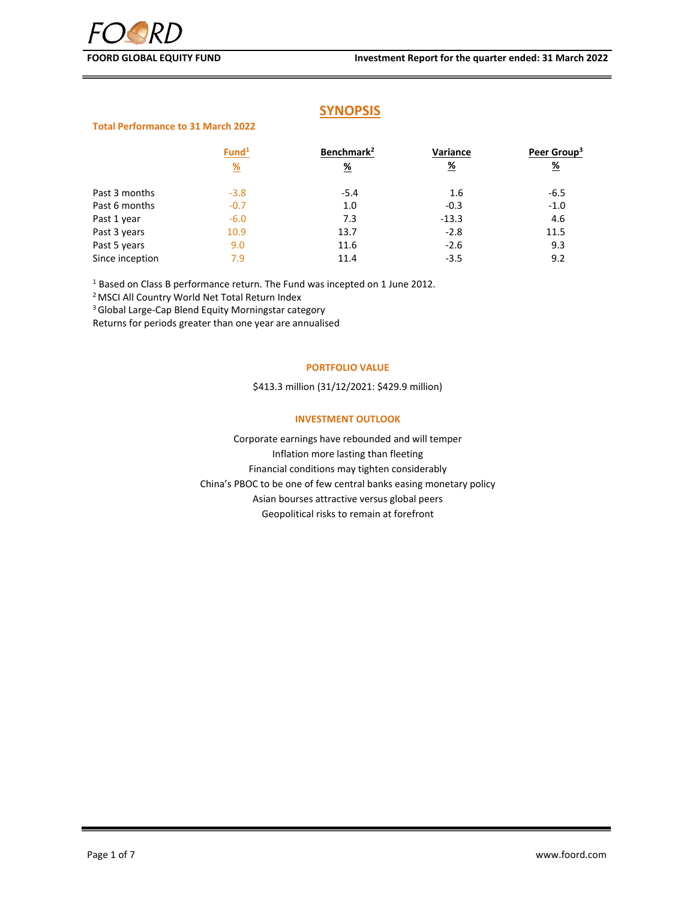# **SYNOPSIS**

# **Total Performance to 31 March 2022**

|                 | Fund <sup>1</sup> | Benchmark <sup>2</sup> | Variance      | Peer Group <sup>3</sup> |
|-----------------|-------------------|------------------------|---------------|-------------------------|
|                 | $\frac{9}{6}$     | <u>%</u>               | $\frac{9}{6}$ | <u>%</u>                |
| Past 3 months   | $-3.8$            | $-5.4$                 | 1.6           | $-6.5$                  |
| Past 6 months   | $-0.7$            | 1.0                    | $-0.3$        | $-1.0$                  |
| Past 1 year     | $-6.0$            | 7.3                    | $-13.3$       | 4.6                     |
| Past 3 years    | 10.9              | 13.7                   | $-2.8$        | 11.5                    |
| Past 5 years    | 9.0               | 11.6                   | $-2.6$        | 9.3                     |
| Since inception | 7.9               | 11.4                   | $-3.5$        | 9.2                     |

<sup>1</sup> Based on Class B performance return. The Fund was incepted on 1 June 2012.

<sup>2</sup> MSCI All Country World Net Total Return Index

3Global Large‐Cap Blend Equity Morningstar category

Returns for periods greater than one year are annualised

## **PORTFOLIO VALUE**

\$413.3 million (31/12/2021: \$429.9 million)

# **INVESTMENT OUTLOOK**

Corporate earnings have rebounded and will temper Inflation more lasting than fleeting Financial conditions may tighten considerably China's PBOC to be one of few central banks easing monetary policy Asian bourses attractive versus global peers Geopolitical risks to remain at forefront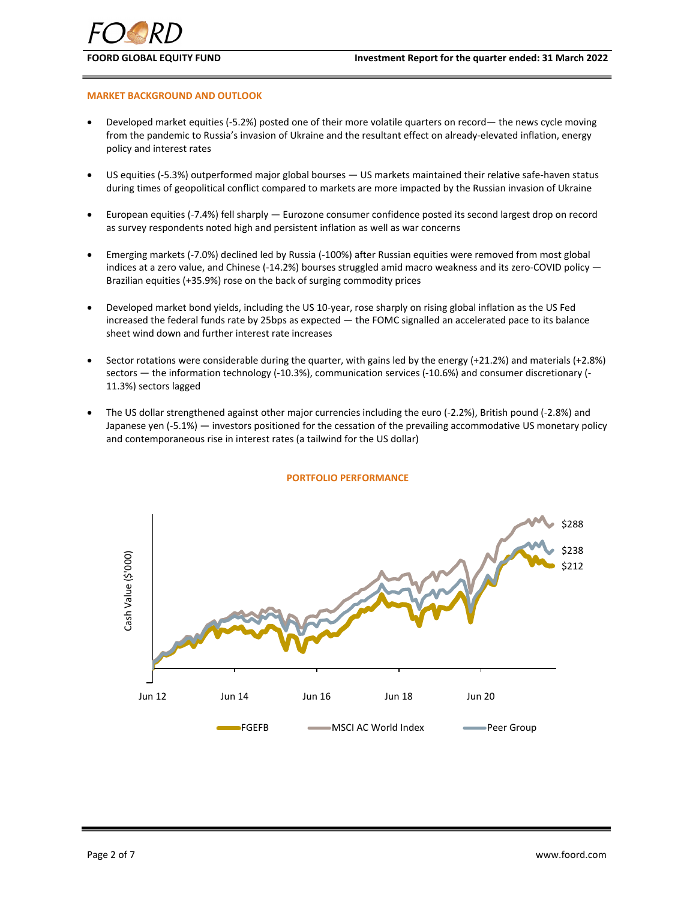# **MARKET BACKGROUND AND OUTLOOK**

- Developed market equities (‐5.2%) posted one of their more volatile quarters on record— the news cycle moving from the pandemic to Russia's invasion of Ukraine and the resultant effect on already‐elevated inflation, energy policy and interest rates
- US equities (‐5.3%) outperformed major global bourses US markets maintained their relative safe‐haven status during times of geopolitical conflict compared to markets are more impacted by the Russian invasion of Ukraine
- European equities (‐7.4%) fell sharply Eurozone consumer confidence posted its second largest drop on record as survey respondents noted high and persistent inflation as well as war concerns
- Emerging markets (‐7.0%) declined led by Russia (‐100%) after Russian equities were removed from most global indices at a zero value, and Chinese (-14.2%) bourses struggled amid macro weakness and its zero-COVID policy — Brazilian equities (+35.9%) rose on the back of surging commodity prices
- Developed market bond yields, including the US 10‐year, rose sharply on rising global inflation as the US Fed increased the federal funds rate by 25bps as expected — the FOMC signalled an accelerated pace to its balance sheet wind down and further interest rate increases
- Sector rotations were considerable during the quarter, with gains led by the energy (+21.2%) and materials (+2.8%) sectors — the information technology (‐10.3%), communication services (‐10.6%) and consumer discretionary (‐ 11.3%) sectors lagged
- The US dollar strengthened against other major currencies including the euro (‐2.2%), British pound (‐2.8%) and Japanese yen (‐5.1%) — investors positioned for the cessation of the prevailing accommodative US monetary policy and contemporaneous rise in interest rates (a tailwind for the US dollar)



## **PORTFOLIO PERFORMANCE**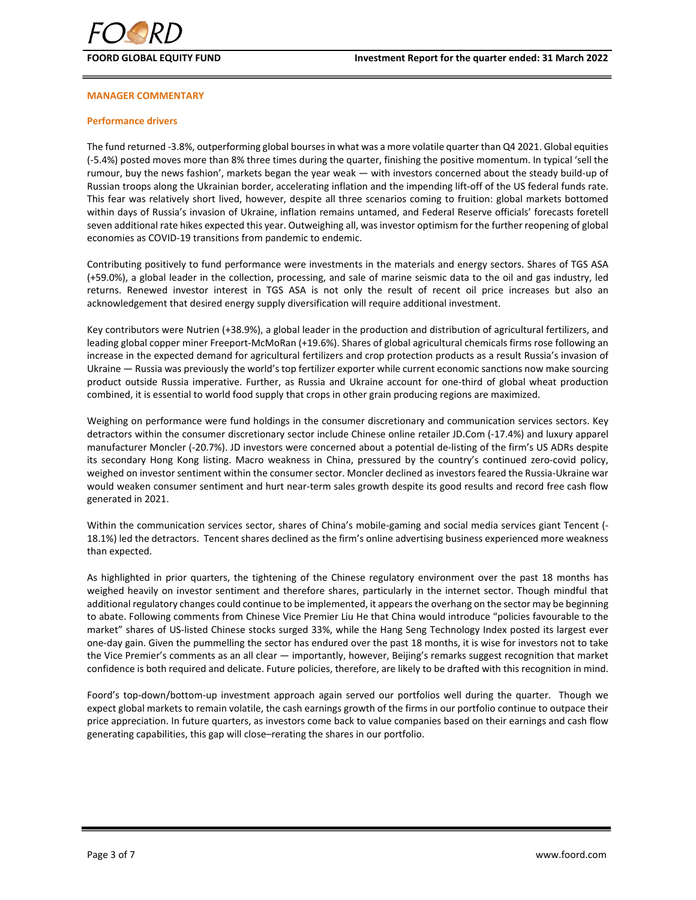

# **MANAGER COMMENTARY**

# **Performance drivers**

The fund returned ‐3.8%, outperforming global boursesin what was a more volatile quarter than Q4 2021. Global equities (‐5.4%) posted moves more than 8% three times during the quarter, finishing the positive momentum. In typical 'sell the rumour, buy the news fashion', markets began the year weak — with investors concerned about the steady build‐up of Russian troops along the Ukrainian border, accelerating inflation and the impending lift-off of the US federal funds rate. This fear was relatively short lived, however, despite all three scenarios coming to fruition: global markets bottomed within days of Russia's invasion of Ukraine, inflation remains untamed, and Federal Reserve officials' forecasts foretell seven additional rate hikes expected this year. Outweighing all, was investor optimism for the further reopening of global economies as COVID‐19 transitions from pandemic to endemic.

Contributing positively to fund performance were investments in the materials and energy sectors. Shares of TGS ASA (+59.0%), a global leader in the collection, processing, and sale of marine seismic data to the oil and gas industry, led returns. Renewed investor interest in TGS ASA is not only the result of recent oil price increases but also an acknowledgement that desired energy supply diversification will require additional investment.

Key contributors were Nutrien (+38.9%), a global leader in the production and distribution of agricultural fertilizers, and leading global copper miner Freeport‐McMoRan (+19.6%). Shares of global agricultural chemicals firms rose following an increase in the expected demand for agricultural fertilizers and crop protection products as a result Russia's invasion of Ukraine — Russia was previously the world's top fertilizer exporter while current economic sanctions now make sourcing product outside Russia imperative. Further, as Russia and Ukraine account for one‐third of global wheat production combined, it is essential to world food supply that crops in other grain producing regions are maximized.

Weighing on performance were fund holdings in the consumer discretionary and communication services sectors. Key detractors within the consumer discretionary sector include Chinese online retailer JD.Com (‐17.4%) and luxury apparel manufacturer Moncler (‐20.7%). JD investors were concerned about a potential de‐listing of the firm's US ADRs despite its secondary Hong Kong listing. Macro weakness in China, pressured by the country's continued zero‐covid policy, weighed on investor sentiment within the consumer sector. Moncler declined as investors feared the Russia‐Ukraine war would weaken consumer sentiment and hurt near-term sales growth despite its good results and record free cash flow generated in 2021.

Within the communication services sector, shares of China's mobile‐gaming and social media services giant Tencent (‐ 18.1%) led the detractors. Tencent shares declined as the firm's online advertising business experienced more weakness than expected.

As highlighted in prior quarters, the tightening of the Chinese regulatory environment over the past 18 months has weighed heavily on investor sentiment and therefore shares, particularly in the internet sector. Though mindful that additional regulatory changes could continue to be implemented, it appears the overhang on the sector may be beginning to abate. Following comments from Chinese Vice Premier Liu He that China would introduce "policies favourable to the market" shares of US‐listed Chinese stocks surged 33%, while the Hang Seng Technology Index posted its largest ever one‐day gain. Given the pummelling the sector has endured over the past 18 months, it is wise for investors not to take the Vice Premier's comments as an all clear — importantly, however, Beijing's remarks suggest recognition that market confidence is both required and delicate. Future policies, therefore, are likely to be drafted with this recognition in mind.

Foord's top-down/bottom-up investment approach again served our portfolios well during the quarter. Though we expect global markets to remain volatile, the cash earnings growth of the firms in our portfolio continue to outpace their price appreciation. In future quarters, as investors come back to value companies based on their earnings and cash flow generating capabilities, this gap will close–rerating the shares in our portfolio.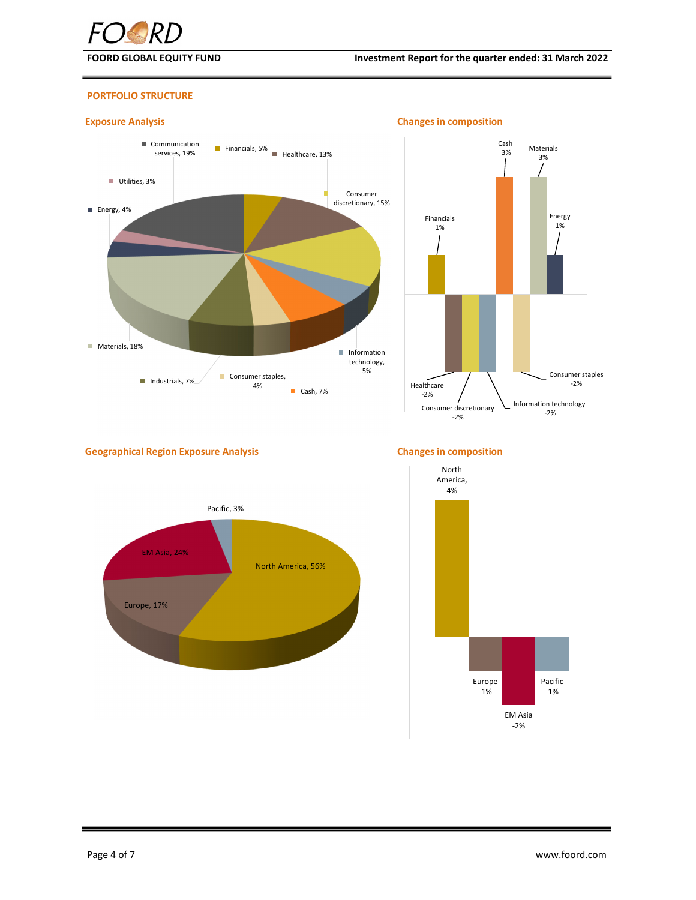

# **PORTFOLIO STRUCTURE**





# **Geographical Region Exposure Analysis Changes in composition**





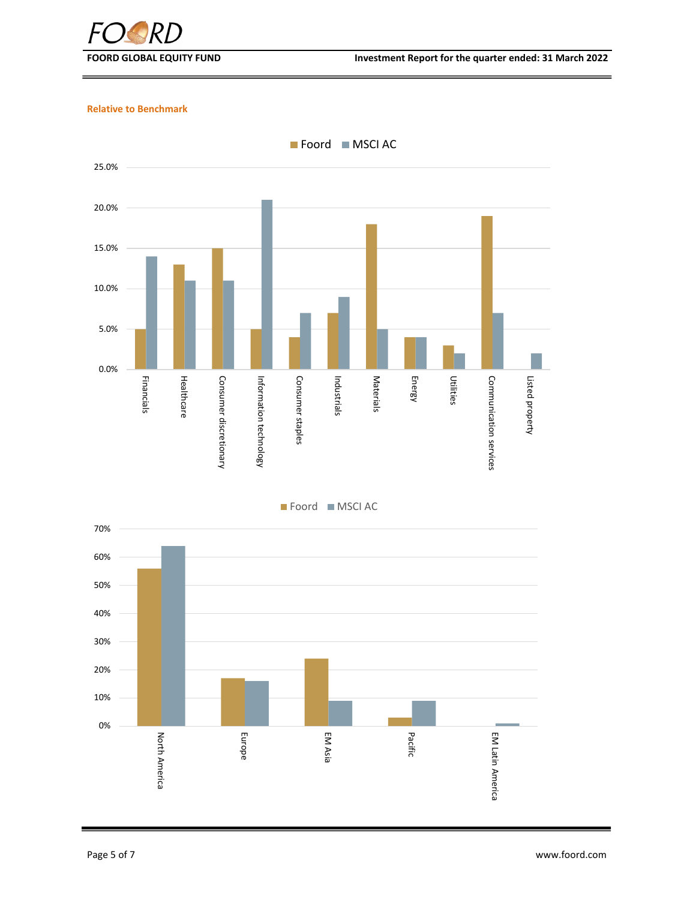

**FOORD GLOBAL EQUITY FUND Investment Report for the quarter ended: 31 March 2022**

# **Relative to Benchmark**



Foord MSCI AC

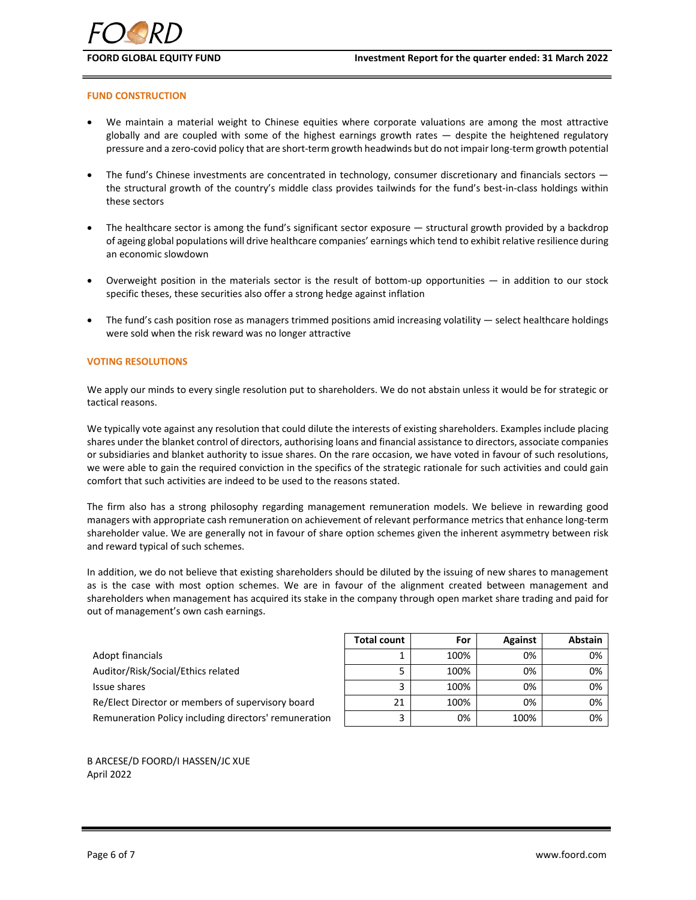

### **FUND CONSTRUCTION**

- We maintain a material weight to Chinese equities where corporate valuations are among the most attractive globally and are coupled with some of the highest earnings growth rates — despite the heightened regulatory pressure and a zero-covid policy that are short-term growth headwinds but do not impair long-term growth potential
- The fund's Chinese investments are concentrated in technology, consumer discretionary and financials sectors the structural growth of the country's middle class provides tailwinds for the fund's best-in-class holdings within these sectors
- The healthcare sector is among the fund's significant sector exposure structural growth provided by a backdrop of ageing global populations will drive healthcare companies' earnings which tend to exhibit relative resilience during an economic slowdown
- Overweight position in the materials sector is the result of bottom‐up opportunities in addition to our stock specific theses, these securities also offer a strong hedge against inflation
- The fund's cash position rose as managers trimmed positions amid increasing volatility select healthcare holdings were sold when the risk reward was no longer attractive

## **VOTING RESOLUTIONS**

We apply our minds to every single resolution put to shareholders. We do not abstain unless it would be for strategic or tactical reasons.

We typically vote against any resolution that could dilute the interests of existing shareholders. Examples include placing shares under the blanket control of directors, authorising loans and financial assistance to directors, associate companies or subsidiaries and blanket authority to issue shares. On the rare occasion, we have voted in favour of such resolutions, we were able to gain the required conviction in the specifics of the strategic rationale for such activities and could gain comfort that such activities are indeed to be used to the reasons stated.

The firm also has a strong philosophy regarding management remuneration models. We believe in rewarding good managers with appropriate cash remuneration on achievement of relevant performance metrics that enhance long‐term shareholder value. We are generally not in favour of share option schemes given the inherent asymmetry between risk and reward typical of such schemes.

In addition, we do not believe that existing shareholders should be diluted by the issuing of new shares to management as is the case with most option schemes. We are in favour of the alignment created between management and shareholders when management has acquired its stake in the company through open market share trading and paid for out of management's own cash earnings.

|                                                       | <b>Total count</b> | For  | Against | Abstain |
|-------------------------------------------------------|--------------------|------|---------|---------|
| Adopt financials                                      |                    | 100% | 0%      | 0%      |
| Auditor/Risk/Social/Ethics related                    |                    | 100% | 0%      | 0%      |
| Issue shares                                          |                    | 100% | 0%      | 0%      |
| Re/Elect Director or members of supervisory board     | 21                 | 100% | 0%      | 0%      |
| Remuneration Policy including directors' remuneration |                    | 0%   | 100%    | 0%      |

B ARCESE/D FOORD/I HASSEN/JC XUE April 2022